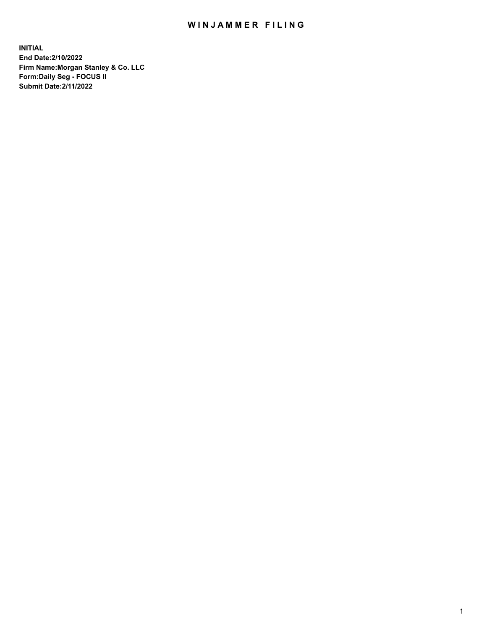## WIN JAMMER FILING

**INITIAL End Date:2/10/2022 Firm Name:Morgan Stanley & Co. LLC Form:Daily Seg - FOCUS II Submit Date:2/11/2022**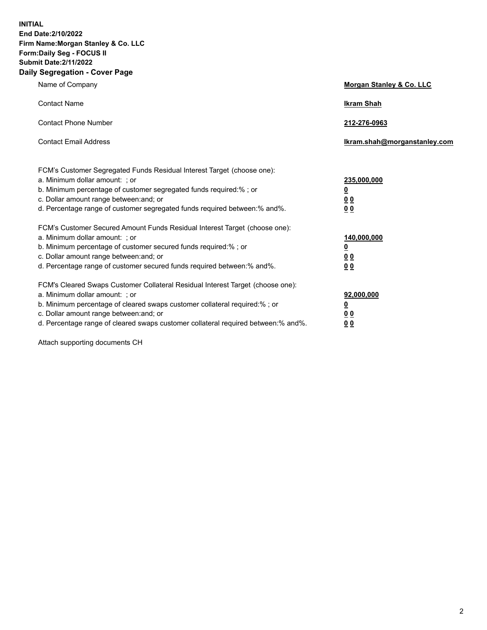**INITIAL End Date:2/10/2022 Firm Name:Morgan Stanley & Co. LLC Form:Daily Seg - FOCUS II Submit Date:2/11/2022 Daily Segregation - Cover Page**

| Name of Company                                                                                                                                                                                                                                                                                                                | Morgan Stanley & Co. LLC                                |
|--------------------------------------------------------------------------------------------------------------------------------------------------------------------------------------------------------------------------------------------------------------------------------------------------------------------------------|---------------------------------------------------------|
| <b>Contact Name</b>                                                                                                                                                                                                                                                                                                            | <b>Ikram Shah</b>                                       |
| <b>Contact Phone Number</b>                                                                                                                                                                                                                                                                                                    | 212-276-0963                                            |
| <b>Contact Email Address</b>                                                                                                                                                                                                                                                                                                   | Ikram.shah@morganstanley.com                            |
| FCM's Customer Segregated Funds Residual Interest Target (choose one):<br>a. Minimum dollar amount: ; or<br>b. Minimum percentage of customer segregated funds required:% ; or<br>c. Dollar amount range between: and; or<br>d. Percentage range of customer segregated funds required between:% and%.                         | 235,000,000<br><u>0</u><br><u>00</u><br><u>00</u>       |
| FCM's Customer Secured Amount Funds Residual Interest Target (choose one):<br>a. Minimum dollar amount: ; or<br>b. Minimum percentage of customer secured funds required:%; or<br>c. Dollar amount range between: and; or<br>d. Percentage range of customer secured funds required between:% and%.                            | 140,000,000<br><u>0</u><br><u>0 0</u><br>0 <sub>0</sub> |
| FCM's Cleared Swaps Customer Collateral Residual Interest Target (choose one):<br>a. Minimum dollar amount: ; or<br>b. Minimum percentage of cleared swaps customer collateral required:% ; or<br>c. Dollar amount range between: and; or<br>d. Percentage range of cleared swaps customer collateral required between:% and%. | 92,000,000<br><u>0</u><br><u>00</u><br>00               |

Attach supporting documents CH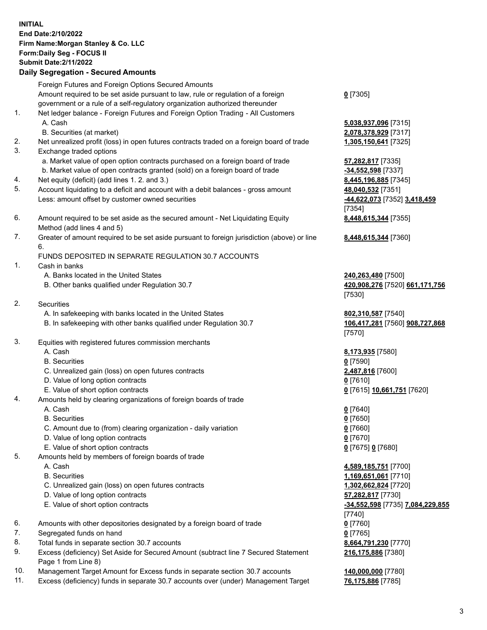## **INITIAL End Date:2/10/2022 Firm Name:Morgan Stanley & Co. LLC Form:Daily Seg - FOCUS II Submit Date:2/11/2022 Daily Segregation - Secured Amounts**

Foreign Futures and Foreign Options Secured Amounts Amount required to be set aside pursuant to law, rule or regulation of a foreign government or a rule of a self-regulatory organization authorized thereunder 1. Net ledger balance - Foreign Futures and Foreign Option Trading - All Customers A. Cash **5,038,937,096** [7315] B. Securities (at market) **2,078,378,929** [7317] 2. Net unrealized profit (loss) in open futures contracts traded on a foreign board of trade **1,305,150,641** [7325] 3. Exchange traded options a. Market value of open option contracts purchased on a foreign board of trade **57,282,817** [7335] b. Market value of open contracts granted (sold) on a foreign board of trade **-34,552,598** [7337] 4. Net equity (deficit) (add lines 1. 2. and 3.) **8,445,196,885** [7345] 5. Account liquidating to a deficit and account with a debit balances - gross amount **48,040,532** [7351] Less: amount offset by customer owned securities **-44,622,073** [7352] **3,418,459** 6. Amount required to be set aside as the secured amount - Net Liquidating Equity Method (add lines 4 and 5) 7. Greater of amount required to be set aside pursuant to foreign jurisdiction (above) or line 6. FUNDS DEPOSITED IN SEPARATE REGULATION 30.7 ACCOUNTS 1. Cash in banks A. Banks located in the United States **240,263,480** [7500] B. Other banks qualified under Regulation 30.7 **420,908,276** [7520] **661,171,756**

- 2. Securities
	- A. In safekeeping with banks located in the United States **802,310,587** [7540]
	- B. In safekeeping with other banks qualified under Regulation 30.7 **106,417,281** [7560] **908,727,868**
- 3. Equities with registered futures commission merchants
	-
	- B. Securities **0** [7590]
	- C. Unrealized gain (loss) on open futures contracts **2,487,816** [7600]
	- D. Value of long option contracts **0** [7610]
	- E. Value of short option contracts **0** [7615] **10,661,751** [7620]
- 4. Amounts held by clearing organizations of foreign boards of trade
	- A. Cash **0** [7640]
	- B. Securities **0** [7650]
	- C. Amount due to (from) clearing organization daily variation **0** [7660]
	- D. Value of long option contracts **0** [7670]
	- E. Value of short option contracts **0** [7675] **0** [7680]
- 5. Amounts held by members of foreign boards of trade
	-
	-
	- C. Unrealized gain (loss) on open futures contracts **1,302,662,824** [7720]
	- D. Value of long option contracts **57,282,817** [7730]
	- E. Value of short option contracts **-34,552,598** [7735] **7,084,229,855**
- 6. Amounts with other depositories designated by a foreign board of trade **0** [7760]
- 7. Segregated funds on hand **0** [7765]
- 8. Total funds in separate section 30.7 accounts **8,664,791,230** [7770]
- 9. Excess (deficiency) Set Aside for Secured Amount (subtract line 7 Secured Statement Page 1 from Line 8)
- 10. Management Target Amount for Excess funds in separate section 30.7 accounts **140,000,000** [7780]
- 11. Excess (deficiency) funds in separate 30.7 accounts over (under) Management Target **76,175,886** [7785]

**0** [7305]

[7354] **8,448,615,344** [7355]

**8,448,615,344** [7360]

[7530]

[7570]

A. Cash **8,173,935** [7580]

 A. Cash **4,589,185,751** [7700] B. Securities **1,169,651,061** [7710] [7740] **216,175,886** [7380]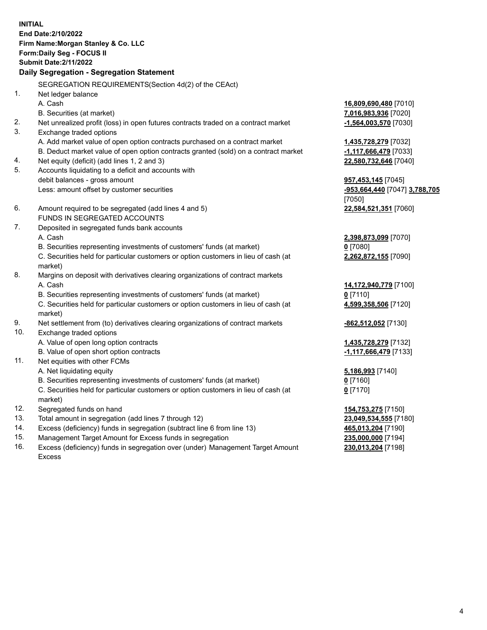**INITIAL End Date:2/10/2022 Firm Name:Morgan Stanley & Co. LLC Form:Daily Seg - FOCUS II Submit Date:2/11/2022 Daily Segregation - Segregation Statement** SEGREGATION REQUIREMENTS(Section 4d(2) of the CEAct) 1. Net ledger balance A. Cash **16,809,690,480** [7010] B. Securities (at market) **7,016,983,936** [7020] 2. Net unrealized profit (loss) in open futures contracts traded on a contract market **-1,564,003,570** [7030] 3. Exchange traded options A. Add market value of open option contracts purchased on a contract market **1,435,728,279** [7032] B. Deduct market value of open option contracts granted (sold) on a contract market **-1,117,666,479** [7033] 4. Net equity (deficit) (add lines 1, 2 and 3) **22,580,732,646** [7040] 5. Accounts liquidating to a deficit and accounts with debit balances - gross amount **957,453,145** [7045] Less: amount offset by customer securities **-953,664,440** [7047] **3,788,705** [7050] 6. Amount required to be segregated (add lines 4 and 5) **22,584,521,351** [7060] FUNDS IN SEGREGATED ACCOUNTS 7. Deposited in segregated funds bank accounts A. Cash **2,398,873,099** [7070] B. Securities representing investments of customers' funds (at market) **0** [7080] C. Securities held for particular customers or option customers in lieu of cash (at market) **2,262,872,155** [7090] 8. Margins on deposit with derivatives clearing organizations of contract markets A. Cash **14,172,940,779** [7100] B. Securities representing investments of customers' funds (at market) **0** [7110] C. Securities held for particular customers or option customers in lieu of cash (at market) **4,599,358,506** [7120] 9. Net settlement from (to) derivatives clearing organizations of contract markets **-862,512,052** [7130] 10. Exchange traded options A. Value of open long option contracts **1,435,728,279** [7132] B. Value of open short option contracts **and the set of our original contracts -1,117,666,479** [7133] 11. Net equities with other FCMs A. Net liquidating equity **5,186,993** [7140] B. Securities representing investments of customers' funds (at market) **0** [7160] C. Securities held for particular customers or option customers in lieu of cash (at market) **0** [7170] 12. Segregated funds on hand **154,753,275** [7150] 13. Total amount in segregation (add lines 7 through 12) **23,049,534,555** [7180] 14. Excess (deficiency) funds in segregation (subtract line 6 from line 13) **465,013,204** [7190] 15. Management Target Amount for Excess funds in segregation **235,000,000** [7194]

16. Excess (deficiency) funds in segregation over (under) Management Target Amount Excess

**230,013,204** [7198]